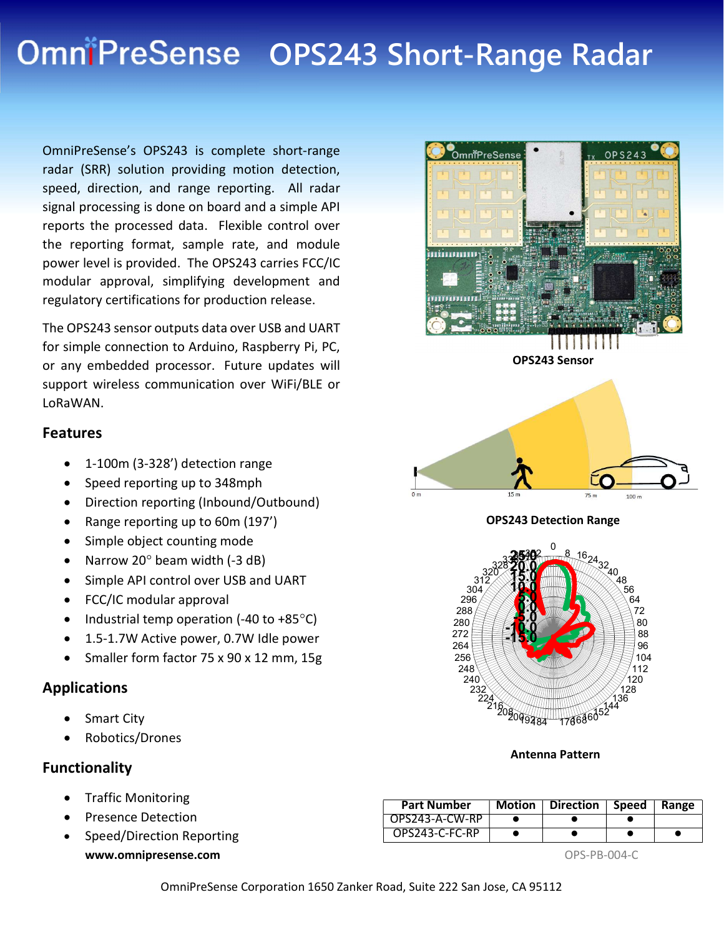# OmniPreSense OPS243 Short-Range Radar

OmniPreSense's OPS243 is complete short-range radar (SRR) solution providing motion detection, speed, direction, and range reporting. All radar signal processing is done on board and a simple API reports the processed data. Flexible control over the reporting format, sample rate, and module power level is provided. The OPS243 carries FCC/IC modular approval, simplifying development and regulatory certifications for production release.

The OPS243 sensor outputs data over USB and UART for simple connection to Arduino, Raspberry Pi, PC, or any embedded processor. Future updates will support wireless communication over WiFi/BLE or LoRaWAN.

#### Features

- 1-100m (3-328') detection range
- Speed reporting up to 348mph
- Direction reporting (Inbound/Outbound)
- Range reporting up to 60m (197')
- Simple object counting mode
- Narrow 20 $^{\circ}$  beam width (-3 dB)
- Simple API control over USB and UART
- FCC/IC modular approval
- Industrial temp operation (-40 to  $+85^{\circ}$ C)
- 1.5-1.7W Active power, 0.7W Idle power
- Smaller form factor 75 x 90 x 12 mm, 15g

#### Applications

- Smart City
- Robotics/Drones

### Functionality

- Traffic Monitoring
- Presence Detection
- www.omnipresense.com and the set of the set of the set of the set of the set of the set of the set of the set of the set of the set of the set of the set of the set of the set of the set of the set of the set of the set of • Speed/Direction Reporting









OPS243 Detection Range



Antenna Pattern